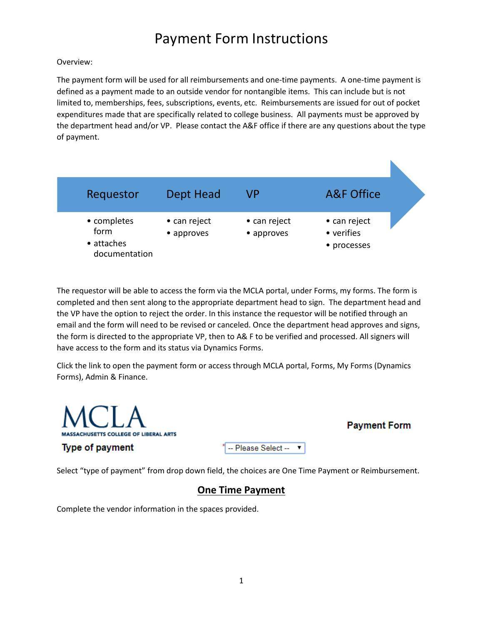#### Overview:

The payment form will be used for all reimbursements and one-time payments. A one-time payment is defined as a payment made to an outside vendor for nontangible items. This can include but is not limited to, memberships, fees, subscriptions, events, etc. Reimbursements are issued for out of pocket expenditures made that are specifically related to college business. All payments must be approved by the department head and/or VP. Please contact the A&F office if there are any questions about the type of payment.



The requestor will be able to access the form via the MCLA portal, under Forms, my forms. The form is completed and then sent along to the appropriate department head to sign. The department head and the VP have the option to reject the order. In this instance the requestor will be notified through an email and the form will need to be revised or canceled. Once the department head approves and signs, the form is directed to the appropriate VP, then to A& F to be verified and processed. All signers will have access to the form and its status via Dynamics Forms.

Click the link to open the payment form or access through MCLA portal, Forms, My Forms (Dynamics Forms), Admin & Finance.



Select "type of payment" from drop down field, the choices are One Time Payment or Reimbursement.

## **One Time Payment**

Complete the vendor information in the spaces provided.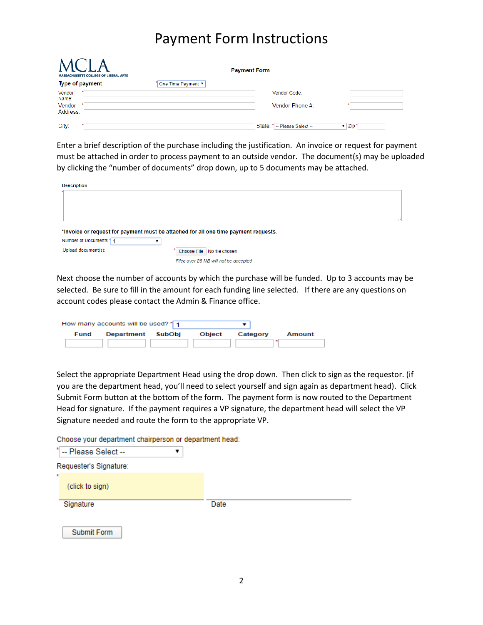| <b>MASSACHUSETTS COLLEGE OF LIBERAL ARTS</b> |                    | <b>Payment Form</b> |                                  |                   |
|----------------------------------------------|--------------------|---------------------|----------------------------------|-------------------|
| Type of payment                              | One Time Payment ▼ |                     |                                  |                   |
| Vendor<br>Name:                              |                    |                     | Vendor Code:                     |                   |
| Vendor<br>Address:                           |                    |                     | Vendor Phone #:                  |                   |
| City:                                        |                    | State:              | <sup>*</sup> -- Please Select -- | $\mathbf{v}$ Zip' |

Enter a brief description of the purchase including the justification. An invoice or request for payment must be attached in order to process payment to an outside vendor. The document(s) may be uploaded by clicking the "number of documents" drop down, up to 5 documents may be attached.

| <b>Description</b>     |                                                                                     |  |
|------------------------|-------------------------------------------------------------------------------------|--|
|                        |                                                                                     |  |
|                        |                                                                                     |  |
|                        |                                                                                     |  |
|                        | *Invoice or request for payment must be attached for all one time payment requests. |  |
| Number of Documents 11 |                                                                                     |  |
| Upload document(s):    | Choose File No file chosen                                                          |  |
|                        | Files over 25 MB will not be accepted                                               |  |

Next choose the number of accounts by which the purchase will be funded. Up to 3 accounts may be selected. Be sure to fill in the amount for each funding line selected. If there are any questions on account codes please contact the Admin & Finance office.

|      | How many accounts will be used? * 1 |        |          |        |
|------|-------------------------------------|--------|----------|--------|
| Fund | Department SubObi                   | Object | Category | Amount |
|      |                                     |        |          |        |

Select the appropriate Department Head using the drop down. Then click to sign as the requestor. (if you are the department head, you'll need to select yourself and sign again as department head). Click Submit Form button at the bottom of the form. The payment form is now routed to the Department Head for signature. If the payment requires a VP signature, the department head will select the VP Signature needed and route the form to the appropriate VP.

Choose your department chairperson or department head:

| ×  | -- Please Select --    |      |  |
|----|------------------------|------|--|
|    | Requester's Signature: |      |  |
| ×. |                        |      |  |
|    | (click to sign)        |      |  |
|    |                        |      |  |
|    | Signature              | Date |  |

Submit Form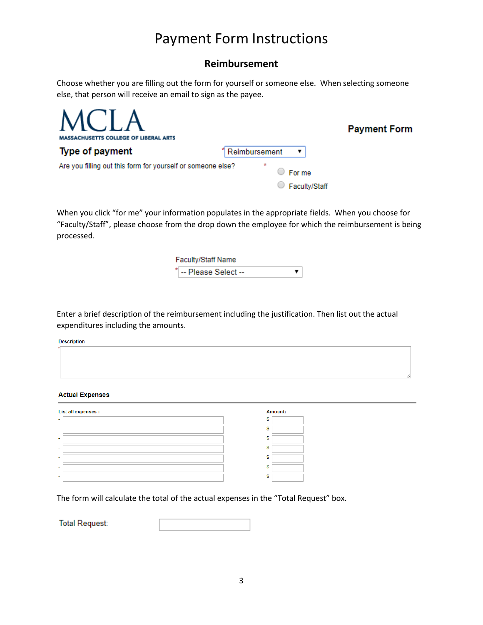### **Reimbursement**

Choose whether you are filling out the form for yourself or someone else. When selecting someone else, that person will receive an email to sign as the payee.

| MCLA<br><b>MASSACHUSETTS COLLEGE OF LIBERAL ARTS</b>        |                   | <b>Payment Form</b> |
|-------------------------------------------------------------|-------------------|---------------------|
| Type of payment                                             | Reimbursement     |                     |
| Are you filling out this form for yourself or someone else? | $\star$<br>For me |                     |
|                                                             | Faculty/Staff     |                     |

When you click "for me" your information populates in the appropriate fields. When you choose for "Faculty/Staff", please choose from the drop down the employee for which the reimbursement is being processed.

> Faculty/Staff Name -- Please Select --▼

Enter a brief description of the reimbursement including the justification. Then list out the actual expenditures including the amounts.

**Description** 

#### **Actual Expenses**

| List all expenses : | <b>Amount:</b> |
|---------------------|----------------|
|                     |                |
|                     |                |
| $\,$                |                |
|                     |                |
|                     |                |
| $\sim$              |                |
|                     |                |

The form will calculate the total of the actual expenses in the "Total Request" box.

**Total Request:**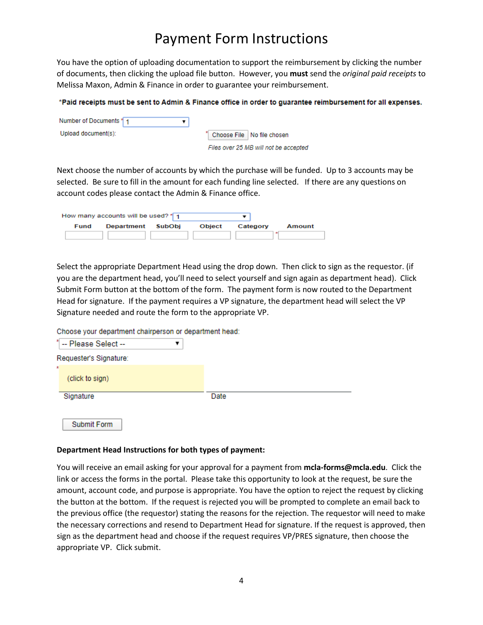You have the option of uploading documentation to support the reimbursement by clicking the number of documents, then clicking the upload file button. However, you **must** send the *original paid receipts* to Melissa Maxon, Admin & Finance in order to guarantee your reimbursement.

#### \*Paid receipts must be sent to Admin & Finance office in order to guarantee reimbursement for all expenses.

| Number of Documents 11 |                                       |
|------------------------|---------------------------------------|
| Upload document(s):    | * Choose File No file chosen          |
|                        | Files over 25 MB will not be accepted |

Next choose the number of accounts by which the purchase will be funded. Up to 3 accounts may be selected. Be sure to fill in the amount for each funding line selected. If there are any questions on account codes please contact the Admin & Finance office.

|      | How many accounts will be used? * 1 |               |          |        |
|------|-------------------------------------|---------------|----------|--------|
| Fund | Department SubObi                   | <b>Object</b> | Category | Amount |
|      |                                     |               |          |        |

Select the appropriate Department Head using the drop down. Then click to sign as the requestor. (if you are the department head, you'll need to select yourself and sign again as department head). Click Submit Form button at the bottom of the form. The payment form is now routed to the Department Head for signature. If the payment requires a VP signature, the department head will select the VP Signature needed and route the form to the appropriate VP.

Choose your department chairperson or department head:

| ×.<br>-- Please Select -- |      |
|---------------------------|------|
| Requester's Signature:    |      |
| ×.<br>(click to sign)     |      |
| Signature                 | Date |

## Submit Form

#### **Department Head Instructions for both types of payment:**

You will receive an email asking for your approval for a payment from **mcla-forms@mcla.edu**. Click the link or access the forms in the portal. Please take this opportunity to look at the request, be sure the amount, account code, and purpose is appropriate. You have the option to reject the request by clicking the button at the bottom. If the request is rejected you will be prompted to complete an email back to the previous office (the requestor) stating the reasons for the rejection. The requestor will need to make the necessary corrections and resend to Department Head for signature. If the request is approved, then sign as the department head and choose if the request requires VP/PRES signature, then choose the appropriate VP. Click submit.